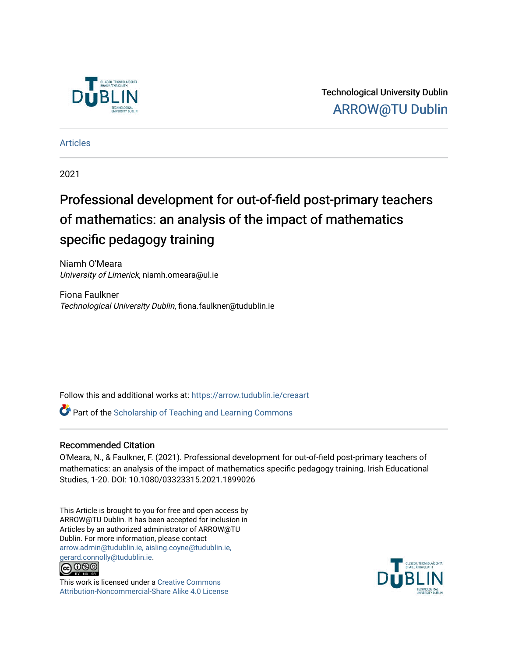

Technological University Dublin [ARROW@TU Dublin](https://arrow.tudublin.ie/) 

[Articles](https://arrow.tudublin.ie/creaart)

2021

# Professional development for out-of-field post-primary teachers of mathematics: an analysis of the impact of mathematics specific pedagogy training

Niamh O'Meara University of Limerick, niamh.omeara@ul.ie

Fiona Faulkner Technological University Dublin, fiona.faulkner@tudublin.ie

Follow this and additional works at: [https://arrow.tudublin.ie/creaart](https://arrow.tudublin.ie/creaart?utm_source=arrow.tudublin.ie%2Fcreaart%2F44&utm_medium=PDF&utm_campaign=PDFCoverPages) 

**P** Part of the Scholarship of Teaching and Learning Commons

# Recommended Citation

O'Meara, N., & Faulkner, F. (2021). Professional development for out-of-field post-primary teachers of mathematics: an analysis of the impact of mathematics specific pedagogy training. Irish Educational Studies, 1-20. DOI: 10.1080/03323315.2021.1899026

This Article is brought to you for free and open access by ARROW@TU Dublin. It has been accepted for inclusion in Articles by an authorized administrator of ARROW@TU Dublin. For more information, please contact [arrow.admin@tudublin.ie, aisling.coyne@tudublin.ie,](mailto:arrow.admin@tudublin.ie,%20aisling.coyne@tudublin.ie,%20gerard.connolly@tudublin.ie)  [gerard.connolly@tudublin.ie](mailto:arrow.admin@tudublin.ie,%20aisling.coyne@tudublin.ie,%20gerard.connolly@tudublin.ie).



This work is licensed under a [Creative Commons](http://creativecommons.org/licenses/by-nc-sa/4.0/) [Attribution-Noncommercial-Share Alike 4.0 License](http://creativecommons.org/licenses/by-nc-sa/4.0/)

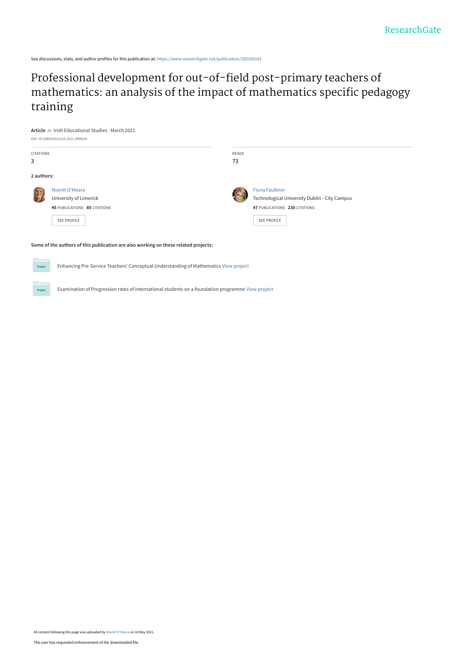See discussions, stats, and author profiles for this publication at: [https://www.researchgate.net/publication/350109181](https://www.researchgate.net/publication/350109181_Professional_development_for_out-of-field_post-primary_teachers_of_mathematics_an_analysis_of_the_impact_of_mathematics_specific_pedagogy_training?enrichId=rgreq-a4c7aea6af51b29e3a5d39a1dd7519ba-XXX&enrichSource=Y292ZXJQYWdlOzM1MDEwOTE4MTtBUzoxMDIxODIzMTQ3ODY0MDY0QDE2MjA2MzMwMzE0MzY%3D&el=1_x_2&_esc=publicationCoverPdf)

# Professional development for out-of-field post-primary teachers of [mathematics: an analysis of the impact of mathematics specific pedagogy](https://www.researchgate.net/publication/350109181_Professional_development_for_out-of-field_post-primary_teachers_of_mathematics_an_analysis_of_the_impact_of_mathematics_specific_pedagogy_training?enrichId=rgreq-a4c7aea6af51b29e3a5d39a1dd7519ba-XXX&enrichSource=Y292ZXJQYWdlOzM1MDEwOTE4MTtBUzoxMDIxODIzMTQ3ODY0MDY0QDE2MjA2MzMwMzE0MzY%3D&el=1_x_3&_esc=publicationCoverPdf) training



#### **Some of the authors of this publication are also working on these related projects:**

Projec

 $P_{\text{rot}}$ 

Enhancing Pre-Service Teachers' Conceptual Understanding of Mathematics [View project](https://www.researchgate.net/project/Enhancing-Pre-Service-Teachers-Conceptual-Understanding-of-Mathematics?enrichId=rgreq-a4c7aea6af51b29e3a5d39a1dd7519ba-XXX&enrichSource=Y292ZXJQYWdlOzM1MDEwOTE4MTtBUzoxMDIxODIzMTQ3ODY0MDY0QDE2MjA2MzMwMzE0MzY%3D&el=1_x_9&_esc=publicationCoverPdf)

Examination of Progression rates of international students on a foundation programme [View project](https://www.researchgate.net/project/Examination-of-Progression-rates-of-international-students-on-a-foundation-programme?enrichId=rgreq-a4c7aea6af51b29e3a5d39a1dd7519ba-XXX&enrichSource=Y292ZXJQYWdlOzM1MDEwOTE4MTtBUzoxMDIxODIzMTQ3ODY0MDY0QDE2MjA2MzMwMzE0MzY%3D&el=1_x_9&_esc=publicationCoverPdf)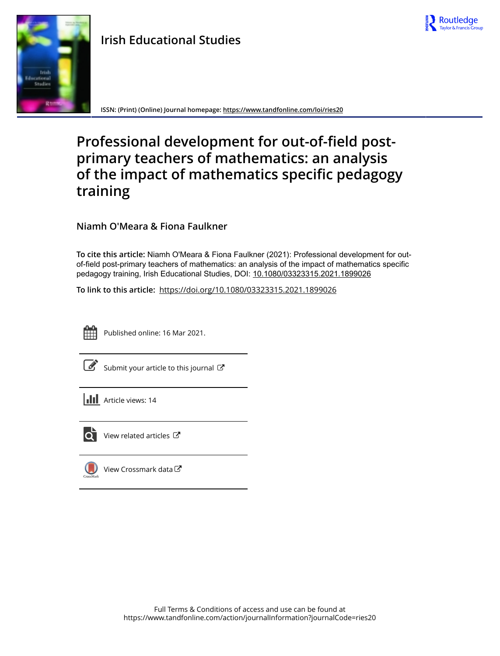

# **Irish Educational Studies**



**ISSN: (Print) (Online) Journal homepage:<https://www.tandfonline.com/loi/ries20>**

# **Professional development for out-of-field postprimary teachers of mathematics: an analysis of the impact of mathematics specific pedagogy training**

**Niamh O'Meara & Fiona Faulkner**

**To cite this article:** Niamh O'Meara & Fiona Faulkner (2021): Professional development for outof-field post-primary teachers of mathematics: an analysis of the impact of mathematics specific pedagogy training, Irish Educational Studies, DOI: [10.1080/03323315.2021.1899026](https://www.tandfonline.com/action/showCitFormats?doi=10.1080/03323315.2021.1899026)

**To link to this article:** <https://doi.org/10.1080/03323315.2021.1899026>



Published online: 16 Mar 2021.

[Submit your article to this journal](https://www.tandfonline.com/action/authorSubmission?journalCode=ries20&show=instructions)  $\mathbb{Z}$ 

**III** Article views: 14



 $\overline{\text{O}}$  [View related articles](https://www.tandfonline.com/doi/mlt/10.1080/03323315.2021.1899026)  $\mathbb{C}^{\bullet}$ 

 $\bigcirc$  [View Crossmark data](http://crossmark.crossref.org/dialog/?doi=10.1080/03323315.2021.1899026&domain=pdf&date_stamp=2021-03-16) $\mathbb{Z}$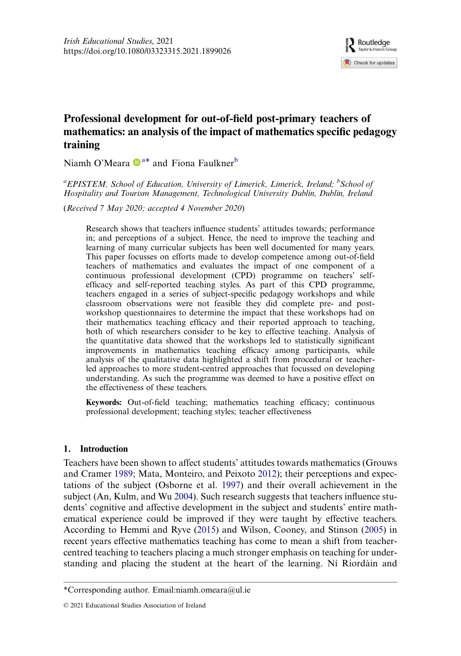

# Professional development for out-of-field post-primary teachers of mathematics: an analysis of the impact of mathematics specific pedagogy training

Niamh O'Meara  $\mathbf{D}^{a*}$  and Fiona Faulkner<sup>b</sup>

<sup>a</sup>EPISTEM, School of Education, University of Limerick, Limerick, Ireland; <sup>b</sup>School of Hospitality and Tourism Management, Technological University Dublin, Dublin, Ireland

(Received 7 May 2020; accepted 4 November 2020)

Research shows that teachers influence students' attitudes towards; performance in; and perceptions of a subject. Hence, the need to improve the teaching and learning of many curricular subjects has been well documented for many years. This paper focusses on efforts made to develop competence among out-of-field teachers of mathematics and evaluates the impact of one component of a continuous professional development (CPD) programme on teachers' selfefficacy and self-reported teaching styles. As part of this CPD programme, teachers engaged in a series of subject-specific pedagogy workshops and while classroom observations were not feasible they did complete pre- and postworkshop questionnaires to determine the impact that these workshops had on their mathematics teaching efficacy and their reported approach to teaching, both of which researchers consider to be key to effective teaching. Analysis of the quantitative data showed that the workshops led to statistically significant improvements in mathematics teaching efficacy among participants, while analysis of the qualitative data highlighted a shift from procedural or teacherled approaches to more student-centred approaches that focussed on developing understanding. As such the programme was deemed to have a positive effect on the effectiveness of these teachers.

Keywords: Out-of-field teaching; mathematics teaching efficacy; continuous professional development; teaching styles; teacher effectiveness

# 1. Introduction

<span id="page-3-3"></span><span id="page-3-2"></span><span id="page-3-1"></span><span id="page-3-0"></span>Teachers have been shown to affect students' attitudes towards mathematics (Grouws and Cramer [1989](#page-21-0); Mata, Monteiro, and Peixoto [2012](#page-21-1)); their perceptions and expectations of the subject (Osborne et al. [1997](#page-22-0)) and their overall achievement in the subject (An, Kulm, and Wu [2004](#page-19-0)). Such research suggests that teachers influence students' cognitive and affective development in the subject and students' entire mathematical experience could be improved if they were taught by effective teachers. According to Hemmi and Ryve [\(2015\)](#page-21-2) and Wilson, Cooney, and Stinson [\(2005](#page-22-1)) in recent years effective mathematics teaching has come to mean a shift from teachercentred teaching to teachers placing a much stronger emphasis on teaching for understanding and placing the student at the heart of the learning. Ní Riordáin and

<sup>\*</sup>Corresponding author. Email[:niamh.omeara@ul.ie](mailto:niamh.omeara@ul.ie)

<sup>© 2021</sup> Educational Studies Association of Ireland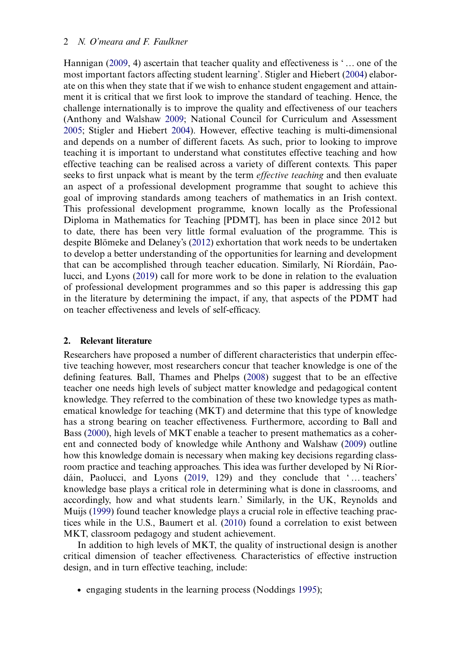## 2. N. O'meara and F. Faulkner

<span id="page-4-10"></span><span id="page-4-6"></span><span id="page-4-5"></span>Hannigan ([2009,](#page-21-3) 4) ascertain that teacher quality and effectiveness is ' … one of the most important factors affecting student learning'. Stigler and Hiebert ([2004\)](#page-22-2) elaborate on this when they state that if we wish to enhance student engagement and attainment it is critical that we first look to improve the standard of teaching. Hence, the challenge internationally is to improve the quality and effectiveness of our teachers (Anthony and Walshaw [2009;](#page-20-0) National Council for Curriculum and Assessment [2005](#page-21-4); Stigler and Hiebert [2004\)](#page-22-2). However, effective teaching is multi-dimensional and depends on a number of different facets. As such, prior to looking to improve teaching it is important to understand what constitutes effective teaching and how effective teaching can be realised across a variety of different contexts. This paper seeks to first unpack what is meant by the term *effective teaching* and then evaluate an aspect of a professional development programme that sought to achieve this goal of improving standards among teachers of mathematics in an Irish context. This professional development programme, known locally as the Professional Diploma in Mathematics for Teaching [PDMT], has been in place since 2012 but to date, there has been very little formal evaluation of the programme. This is despite Blömeke and Delaney's [\(2012](#page-20-1)) exhortation that work needs to be undertaken to develop a better understanding of the opportunities for learning and development that can be accomplished through teacher education. Similarly, Ní Ríordáin, Paolucci, and Lyons [\(2019](#page-22-3)) call for more work to be done in relation to the evaluation of professional development programmes and so this paper is addressing this gap in the literature by determining the impact, if any, that aspects of the PDMT had on teacher effectiveness and levels of self-efficacy.

# <span id="page-4-4"></span>2. Relevant literature

<span id="page-4-2"></span><span id="page-4-1"></span><span id="page-4-0"></span>Researchers have proposed a number of different characteristics that underpin effective teaching however, most researchers concur that teacher knowledge is one of the defining features. Ball, Thames and Phelps [\(2008](#page-20-2)) suggest that to be an effective teacher one needs high levels of subject matter knowledge and pedagogical content knowledge. They referred to the combination of these two knowledge types as mathematical knowledge for teaching (MKT) and determine that this type of knowledge has a strong bearing on teacher effectiveness. Furthermore, according to Ball and Bass [\(2000](#page-20-3)), high levels of MKT enable a teacher to present mathematics as a coherent and connected body of knowledge while Anthony and Walshaw ([2009\)](#page-20-0) outline how this knowledge domain is necessary when making key decisions regarding classroom practice and teaching approaches. This idea was further developed by Ní Ríordáin, Paolucci, and Lyons ([2019,](#page-22-3) 129) and they conclude that ' … teachers' knowledge base plays a critical role in determining what is done in classrooms, and accordingly, how and what students learn.' Similarly, in the UK, Reynolds and Muijs ([1999\)](#page-22-4) found teacher knowledge plays a crucial role in effective teaching practices while in the U.S., Baumert et al. ([2010\)](#page-20-4) found a correlation to exist between MKT, classroom pedagogy and student achievement.

<span id="page-4-9"></span><span id="page-4-7"></span><span id="page-4-3"></span>In addition to high levels of MKT, the quality of instructional design is another critical dimension of teacher effectiveness. Characteristics of effective instruction design, and in turn effective teaching, include:

<span id="page-4-8"></span>. engaging students in the learning process (Noddings [1995](#page-22-5));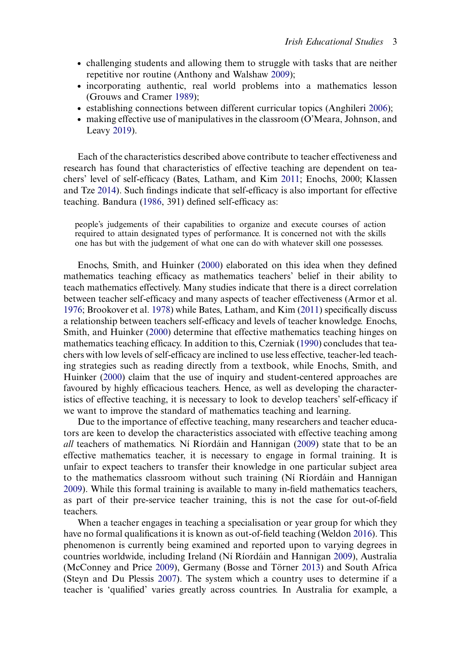- . challenging students and allowing them to struggle with tasks that are neither repetitive nor routine (Anthony and Walshaw [2009](#page-20-0));
- . incorporating authentic, real world problems into a mathematics lesson (Grouws and Cramer [1989](#page-21-0));
- <span id="page-5-0"></span>. establishing connections between different curricular topics (Anghileri [2006\)](#page-20-5);
- <span id="page-5-8"></span>. making effective use of manipulatives in the classroom (O'Meara, Johnson, and Leavy [2019\)](#page-22-6).

<span id="page-5-7"></span>Each of the characteristics described above contribute to teacher effectiveness and research has found that characteristics of effective teaching are dependent on teachers' level of self-efficacy (Bates, Latham, and Kim [2011;](#page-20-6) Enochs, 2000; Klassen and Tze [2014](#page-21-5)). Such findings indicate that self-efficacy is also important for effective teaching. Bandura [\(1986,](#page-20-7) 391) defined self-efficacy as:

<span id="page-5-2"></span>people's judgements of their capabilities to organize and execute courses of action required to attain designated types of performance. It is concerned not with the skills one has but with the judgement of what one can do with whatever skill one possesses.

<span id="page-5-5"></span><span id="page-5-3"></span><span id="page-5-1"></span>Enochs, Smith, and Huinker [\(2000](#page-21-6)) elaborated on this idea when they defined mathematics teaching efficacy as mathematics teachers' belief in their ability to teach mathematics effectively. Many studies indicate that there is a direct correlation between teacher self-efficacy and many aspects of teacher effectiveness (Armor et al. [1976](#page-20-8); Brookover et al. [1978](#page-20-9)) while Bates, Latham, and Kim ([2011\)](#page-20-6) specifically discuss a relationship between teachers self-efficacy and levels of teacher knowledge. Enochs, Smith, and Huinker ([2000\)](#page-21-6) determine that effective mathematics teaching hinges on mathematics teaching efficacy. In addition to this, Czerniak [\(1990\)](#page-20-10) concludes that teachers with low levels of self-efficacy are inclined to use less effective, teacher-led teaching strategies such as reading directly from a textbook, while Enochs, Smith, and Huinker [\(2000\)](#page-21-6) claim that the use of inquiry and student-centered approaches are favoured by highly efficacious teachers. Hence, as well as developing the characteristics of effective teaching, it is necessary to look to develop teachers' self-efficacy if we want to improve the standard of mathematics teaching and learning.

<span id="page-5-6"></span>Due to the importance of effective teaching, many researchers and teacher educators are keen to develop the characteristics associated with effective teaching among all teachers of mathematics. Ní Ríordáin and Hannigan ([2009\)](#page-21-3) state that to be an effective mathematics teacher, it is necessary to engage in formal training. It is unfair to expect teachers to transfer their knowledge in one particular subject area to the mathematics classroom without such training (Ní Ríordáin and Hannigan [2009](#page-21-3)). While this formal training is available to many in-field mathematics teachers, as part of their pre-service teacher training, this is not the case for out-of-field teachers.

<span id="page-5-10"></span><span id="page-5-9"></span><span id="page-5-4"></span>When a teacher engages in teaching a specialisation or year group for which they have no formal qualifications it is known as out-of-field teaching (Weldon [2016](#page-22-7)). This phenomenon is currently being examined and reported upon to varying degrees in countries worldwide, including Ireland (Ní Ríordáin and Hannigan [2009](#page-21-3)), Australia (McConney and Price [2009](#page-21-7)), Germany (Bosse and Törner [2013](#page-20-11)) and South Africa (Steyn and Du Plessis [2007\)](#page-22-8). The system which a country uses to determine if a teacher is 'qualified' varies greatly across countries. In Australia for example, a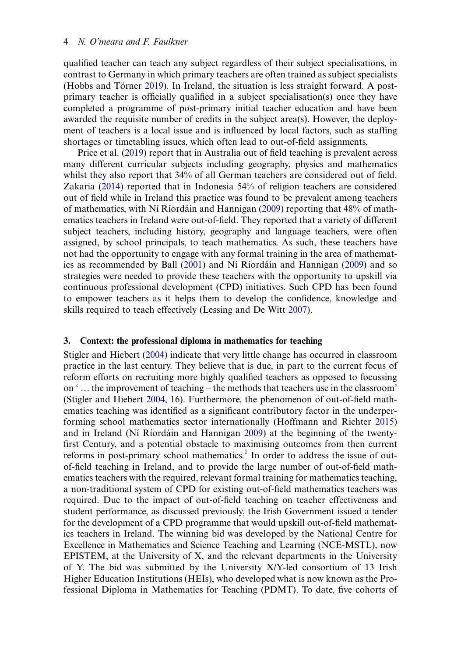<span id="page-6-1"></span>qualified teacher can teach any subject regardless of their subject specialisations, in contrast to Germany in which primary teachers are often trained as subject specialists (Hobbs and Törner [2019\)](#page-21-8). In Ireland, the situation is less straight forward. A postprimary teacher is officially qualified in a subject specialisation(s) once they have completed a programme of post-primary initial teacher education and have been awarded the requisite number of credits in the subject area(s). However, the deployment of teachers is a local issue and is influenced by local factors, such as staffing shortages or timetabling issues, which often lead to out-of-field assignments.

<span id="page-6-5"></span><span id="page-6-4"></span>Price et al. ([2019\)](#page-22-9) report that in Australia out of field teaching is prevalent across many different curricular subjects including geography, physics and mathematics whilst they also report that 34% of all German teachers are considered out of field. Zakaria ([2014\)](#page-22-10) reported that in Indonesia 54% of religion teachers are considered out of field while in Ireland this practice was found to be prevalent among teachers of mathematics, with Ní Ríordáin and Hannigan [\(2009](#page-21-3)) reporting that 48% of mathematics teachers in Ireland were out-of-field. They reported that a variety of different subject teachers, including history, geography and language teachers, were often assigned, by school principals, to teach mathematics. As such, these teachers have not had the opportunity to engage with any formal training in the area of mathematics as recommended by Ball ([2001\)](#page-20-12) and Ní Ríordáin and Hannigan [\(2009](#page-21-3)) and so strategies were needed to provide these teachers with the opportunity to upskill via continuous professional development (CPD) initiatives. Such CPD has been found to empower teachers as it helps them to develop the confidence, knowledge and skills required to teach effectively (Lessing and De Witt [2007\)](#page-21-9).

#### <span id="page-6-3"></span><span id="page-6-0"></span>3. Context: the professional diploma in mathematics for teaching

<span id="page-6-2"></span>Stigler and Hiebert ([2004\)](#page-22-2) indicate that very little change has occurred in classroom practice in the last century. They believe that is due, in part to the current focus of reform efforts on recruiting more highly qualified teachers as opposed to focussing on ' … the improvement of teaching – the methods that teachers use in the classroom' (Stigler and Hiebert [2004,](#page-22-2) 16). Furthermore, the phenomenon of out-of-field mathematics teaching was identified as a significant contributory factor in the underperforming school mathematics sector internationally (Hoffmann and Richter [2015\)](#page-21-10) and in Ireland (Ní Ríordáin and Hannigan [2009](#page-21-3)) at the beginning of the twentyfirst Century, and a potential obstacle to maximising outcomes from then current reforms in post-primary school mathematics.<sup>1</sup> In order to address the issue of outof-field teaching in Ireland, and to provide the large number of out-of-field mathematics teachers with the required, relevant formal training for mathematics teaching, a non-traditional system of CPD for existing out-of-field mathematics teachers was required. Due to the impact of out-of-field teaching on teacher effectiveness and student performance, as discussed previously, the Irish Government issued a tender for the development of a CPD programme that would upskill out-of-field mathematics teachers in Ireland. The winning bid was developed by the National Centre for Excellence in Mathematics and Science Teaching and Learning (NCE-MSTL), now EPISTEM, at the University of X, and the relevant departments in the University of Y. The bid was submitted by the University X/Y-led consortium of 13 Irish Higher Education Institutions (HEIs), who developed what is now known as the Professional Diploma in Mathematics for Teaching (PDMT). To date, five cohorts of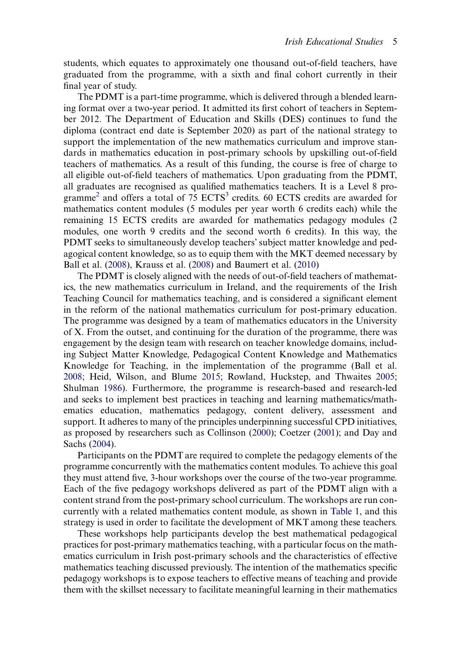students, which equates to approximately one thousand out-of-field teachers, have graduated from the programme, with a sixth and final cohort currently in their final year of study.

The PDMT is a part-time programme, which is delivered through a blended learning format over a two-year period. It admitted its first cohort of teachers in September 2012. The Department of Education and Skills (DES) continues to fund the diploma (contract end date is September 2020) as part of the national strategy to support the implementation of the new mathematics curriculum and improve standards in mathematics education in post-primary schools by upskilling out-of-field teachers of mathematics. As a result of this funding, the course is free of charge to all eligible out-of-field teachers of mathematics. Upon graduating from the PDMT, all graduates are recognised as qualified mathematics teachers. It is a Level 8 pro-gramme<sup>[2](#page-19-2)</sup> and offers a total of 75 ECTS<sup>3</sup> credits. 60 ECTS credits are awarded for mathematics content modules (5 modules per year worth 6 credits each) while the remaining 15 ECTS credits are awarded for mathematics pedagogy modules (2 modules, one worth 9 credits and the second worth 6 credits). In this way, the PDMT seeks to simultaneously develop teachers'subject matter knowledge and pedagogical content knowledge, so as to equip them with the MKT deemed necessary by Ball et al. ([2008\)](#page-20-2), Krauss et al. [\(2008](#page-21-11)) and Baumert et al. [\(2010](#page-20-4))

<span id="page-7-3"></span>The PDMT is closely aligned with the needs of out-of-field teachers of mathematics, the new mathematics curriculum in Ireland, and the requirements of the Irish Teaching Council for mathematics teaching, and is considered a significant element in the reform of the national mathematics curriculum for post-primary education. The programme was designed by a team of mathematics educators in the University of X. From the outset, and continuing for the duration of the programme, there was engagement by the design team with research on teacher knowledge domains, including Subject Matter Knowledge, Pedagogical Content Knowledge and Mathematics Knowledge for Teaching, in the implementation of the programme (Ball et al. [2008](#page-20-2); Heid, Wilson, and Blume [2015;](#page-21-12) Rowland, Huckstep, and Thwaites [2005](#page-22-11); Shulman [1986\)](#page-22-12). Furthermore, the programme is research-based and research-led and seeks to implement best practices in teaching and learning mathematics/mathematics education, mathematics pedagogy, content delivery, assessment and support. It adheres to many of the principles underpinning successful CPD initiatives, as proposed by researchers such as Collinson ([2000\)](#page-20-13); Coetzer [\(2001](#page-20-14)); and Day and Sachs ([2004\)](#page-20-15).

<span id="page-7-4"></span><span id="page-7-2"></span><span id="page-7-1"></span><span id="page-7-0"></span>Participants on the PDMT are required to complete the pedagogy elements of the programme concurrently with the mathematics content modules. To achieve this goal they must attend five, 3-hour workshops over the course of the two-year programme. Each of the five pedagogy workshops delivered as part of the PDMT align with a content strand from the post-primary school curriculum. The workshops are run concurrently with a related mathematics content module, as shown in [Table 1,](#page-8-0) and this strategy is used in order to facilitate the development of MKT among these teachers.

These workshops help participants develop the best mathematical pedagogical practices for post-primary mathematics teaching, with a particular focus on the mathematics curriculum in Irish post-primary schools and the characteristics of effective mathematics teaching discussed previously. The intention of the mathematics specific pedagogy workshops is to expose teachers to effective means of teaching and provide them with the skillset necessary to facilitate meaningful learning in their mathematics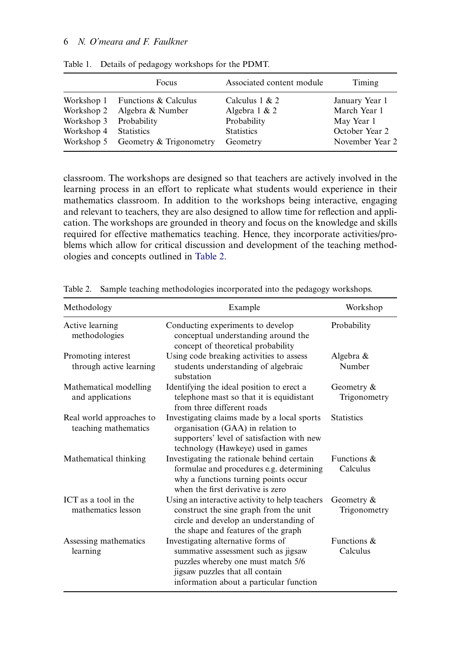# 6 N. O'meara and F. Faulkner

|                        | Focus                              | Associated content module | Timing          |
|------------------------|------------------------------------|---------------------------|-----------------|
|                        | Workshop 1 Functions $&$ Calculus  | Calculus $1 & 2$          | January Year 1  |
| Workshop 2             | Algebra & Number                   | Algebra $1 \& 2$          | March Year 1    |
| Workshop 3 Probability |                                    | Probability               | May Year 1      |
| Workshop 4 Statistics  |                                    | <b>Statistics</b>         | October Year 2  |
|                        | Workshop 5 Geometry & Trigonometry | Geometry                  | November Year 2 |

<span id="page-8-0"></span>Table 1. Details of pedagogy workshops for the PDMT.

classroom. The workshops are designed so that teachers are actively involved in the learning process in an effort to replicate what students would experience in their mathematics classroom. In addition to the workshops being interactive, engaging and relevant to teachers, they are also designed to allow time for reflection and application. The workshops are grounded in theory and focus on the knowledge and skills required for effective mathematics teaching. Hence, they incorporate activities/problems which allow for critical discussion and development of the teaching methodologies and concepts outlined in [Table 2.](#page-8-1)

| Methodology                                      | Example                                                                                                                                                                                       | Workshop                   |
|--------------------------------------------------|-----------------------------------------------------------------------------------------------------------------------------------------------------------------------------------------------|----------------------------|
| Active learning<br>methodologies                 | Conducting experiments to develop<br>conceptual understanding around the<br>concept of theoretical probability                                                                                | Probability                |
| Promoting interest<br>through active learning    | Using code breaking activities to assess<br>students understanding of algebraic<br>substation                                                                                                 | Algebra &<br>Number        |
| Mathematical modelling<br>and applications       | Identifying the ideal position to erect a<br>telephone mast so that it is equidistant<br>from three different roads                                                                           | Geometry &<br>Trigonometry |
| Real world approaches to<br>teaching mathematics | Investigating claims made by a local sports<br>organisation (GAA) in relation to<br>supporters' level of satisfaction with new<br>technology (Hawkeye) used in games                          | <b>Statistics</b>          |
| Mathematical thinking                            | Investigating the rationale behind certain<br>formulae and procedures e.g. determining<br>why a functions turning points occur<br>when the first derivative is zero                           | Functions &<br>Calculus    |
| ICT as a tool in the<br>mathematics lesson       | Using an interactive activity to help teachers<br>construct the sine graph from the unit<br>circle and develop an understanding of<br>the shape and features of the graph                     | Geometry &<br>Trigonometry |
| Assessing mathematics<br>learning                | Investigating alternative forms of<br>summative assessment such as jigsaw<br>puzzles whereby one must match 5/6<br>jigsaw puzzles that all contain<br>information about a particular function | Functions $\&$<br>Calculus |

<span id="page-8-1"></span>Table 2. Sample teaching methodologies incorporated into the pedagogy workshops.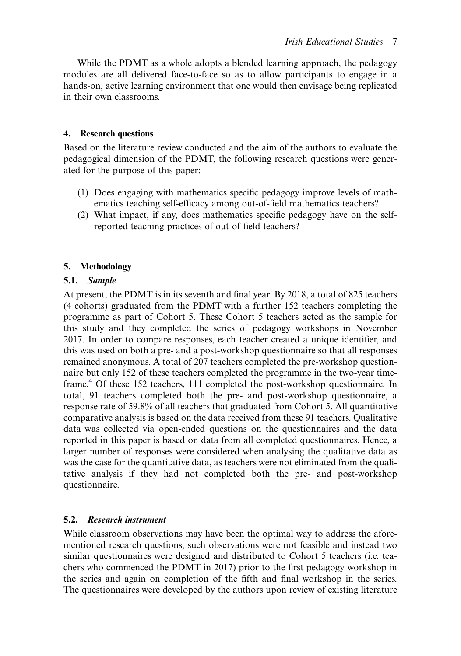While the PDMT as a whole adopts a blended learning approach, the pedagogy modules are all delivered face-to-face so as to allow participants to engage in a hands-on, active learning environment that one would then envisage being replicated in their own classrooms.

# 4. Research questions

Based on the literature review conducted and the aim of the authors to evaluate the pedagogical dimension of the PDMT, the following research questions were generated for the purpose of this paper:

- (1) Does engaging with mathematics specific pedagogy improve levels of mathematics teaching self-efficacy among out-of-field mathematics teachers?
- (2) What impact, if any, does mathematics specific pedagogy have on the selfreported teaching practices of out-of-field teachers?

# 5. Methodology

# 5.1. Sample

At present, the PDMT is in its seventh and final year. By 2018, a total of 825 teachers (4 cohorts) graduated from the PDMT with a further 152 teachers completing the programme as part of Cohort 5. These Cohort 5 teachers acted as the sample for this study and they completed the series of pedagogy workshops in November 2017. In order to compare responses, each teacher created a unique identifier, and this was used on both a pre- and a post-workshop questionnaire so that all responses remained anonymous. A total of 207 teachers completed the pre-workshop questionnaire but only 152 of these teachers completed the programme in the two-year timeframe.[4](#page-19-4) Of these 152 teachers, 111 completed the post-workshop questionnaire. In total, 91 teachers completed both the pre- and post-workshop questionnaire, a response rate of 59.8% of all teachers that graduated from Cohort 5. All quantitative comparative analysis is based on the data received from these 91 teachers. Qualitative data was collected via open-ended questions on the questionnaires and the data reported in this paper is based on data from all completed questionnaires. Hence, a larger number of responses were considered when analysing the qualitative data as was the case for the quantitative data, as teachers were not eliminated from the qualitative analysis if they had not completed both the pre- and post-workshop questionnaire.

# 5.2. Research instrument

While classroom observations may have been the optimal way to address the aforementioned research questions, such observations were not feasible and instead two similar questionnaires were designed and distributed to Cohort 5 teachers (i.e. teachers who commenced the PDMT in 2017) prior to the first pedagogy workshop in the series and again on completion of the fifth and final workshop in the series. The questionnaires were developed by the authors upon review of existing literature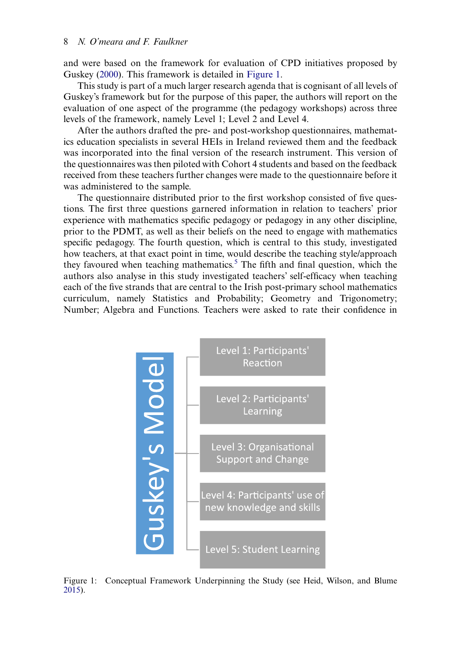<span id="page-10-1"></span>and were based on the framework for evaluation of CPD initiatives proposed by Guskey ([2000\)](#page-21-13). This framework is detailed in [Figure 1](#page-10-0).

This study is part of a much larger research agenda that is cognisant of all levels of Guskey's framework but for the purpose of this paper, the authors will report on the evaluation of one aspect of the programme (the pedagogy workshops) across three levels of the framework, namely Level 1; Level 2 and Level 4.

After the authors drafted the pre- and post-workshop questionnaires, mathematics education specialists in several HEIs in Ireland reviewed them and the feedback was incorporated into the final version of the research instrument. This version of the questionnaires was then piloted with Cohort 4 students and based on the feedback received from these teachers further changes were made to the questionnaire before it was administered to the sample.

The questionnaire distributed prior to the first workshop consisted of five questions. The first three questions garnered information in relation to teachers' prior experience with mathematics specific pedagogy or pedagogy in any other discipline, prior to the PDMT, as well as their beliefs on the need to engage with mathematics specific pedagogy. The fourth question, which is central to this study, investigated how teachers, at that exact point in time, would describe the teaching style/approach they favoured when teaching mathematics.<sup>[5](#page-19-5)</sup> The fifth and final question, which the authors also analyse in this study investigated teachers' self-efficacy when teaching each of the five strands that are central to the Irish post-primary school mathematics curriculum, namely Statistics and Probability; Geometry and Trigonometry; Number; Algebra and Functions. Teachers were asked to rate their confidence in

<span id="page-10-0"></span>

Figure 1: Conceptual Framework Underpinning the Study (see Heid, Wilson, and Blume [2015](#page-21-12)).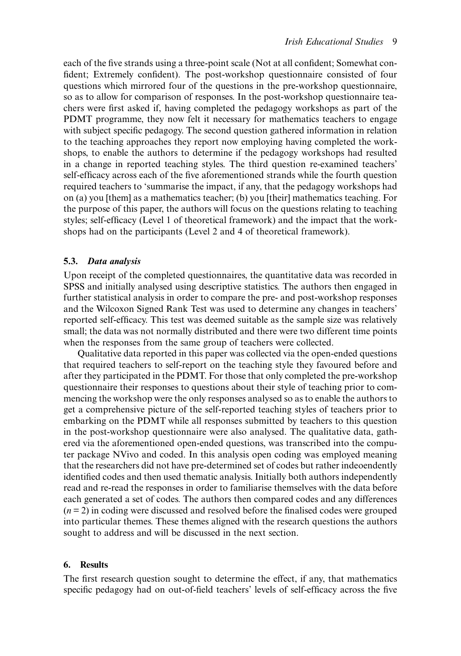each of the five strands using a three-point scale (Not at all confident; Somewhat confident; Extremely confident). The post-workshop questionnaire consisted of four questions which mirrored four of the questions in the pre-workshop questionnaire, so as to allow for comparison of responses. In the post-workshop questionnaire teachers were first asked if, having completed the pedagogy workshops as part of the PDMT programme, they now felt it necessary for mathematics teachers to engage with subject specific pedagogy. The second question gathered information in relation to the teaching approaches they report now employing having completed the workshops, to enable the authors to determine if the pedagogy workshops had resulted in a change in reported teaching styles. The third question re-examined teachers' self-efficacy across each of the five aforementioned strands while the fourth question required teachers to 'summarise the impact, if any, that the pedagogy workshops had on (a) you [them] as a mathematics teacher; (b) you [their] mathematics teaching. For the purpose of this paper, the authors will focus on the questions relating to teaching styles; self-efficacy (Level 1 of theoretical framework) and the impact that the workshops had on the participants (Level 2 and 4 of theoretical framework).

# 5.3. Data analysis

Upon receipt of the completed questionnaires, the quantitative data was recorded in SPSS and initially analysed using descriptive statistics. The authors then engaged in further statistical analysis in order to compare the pre- and post-workshop responses and the Wilcoxon Signed Rank Test was used to determine any changes in teachers' reported self-efficacy. This test was deemed suitable as the sample size was relatively small; the data was not normally distributed and there were two different time points when the responses from the same group of teachers were collected.

Qualitative data reported in this paper was collected via the open-ended questions that required teachers to self-report on the teaching style they favoured before and after they participated in the PDMT. For those that only completed the pre-workshop questionnaire their responses to questions about their style of teaching prior to commencing the workshop were the only responses analysed so as to enable the authors to get a comprehensive picture of the self-reported teaching styles of teachers prior to embarking on the PDMT while all responses submitted by teachers to this question in the post-workshop questionnaire were also analysed. The qualitative data, gathered via the aforementioned open-ended questions, was transcribed into the computer package NVivo and coded. In this analysis open coding was employed meaning that the researchers did not have pre-determined set of codes but rather indeoendently identified codes and then used thematic analysis. Initially both authors independently read and re-read the responses in order to familiarise themselves with the data before each generated a set of codes. The authors then compared codes and any differences  $(n=2)$  in coding were discussed and resolved before the finalised codes were grouped into particular themes. These themes aligned with the research questions the authors sought to address and will be discussed in the next section.

# 6. Results

The first research question sought to determine the effect, if any, that mathematics specific pedagogy had on out-of-field teachers' levels of self-efficacy across the five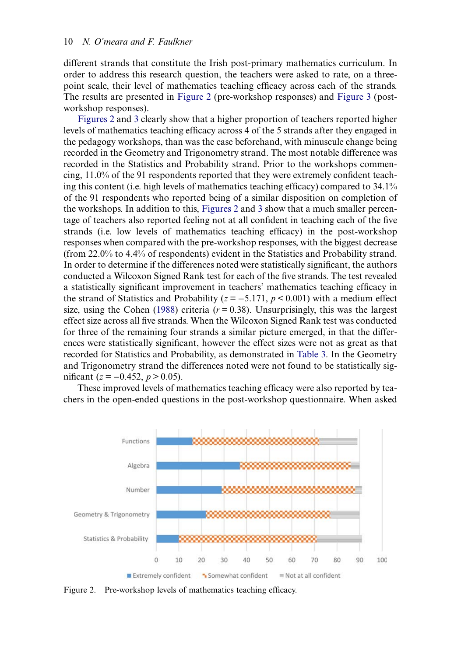different strands that constitute the Irish post-primary mathematics curriculum. In order to address this research question, the teachers were asked to rate, on a threepoint scale, their level of mathematics teaching efficacy across each of the strands. The results are presented in [Figure 2](#page-12-0) (pre-workshop responses) and [Figure 3](#page-13-0) (postworkshop responses).

[Figures 2](#page-12-0) and [3](#page-13-0) clearly show that a higher proportion of teachers reported higher levels of mathematics teaching efficacy across 4 of the 5 strands after they engaged in the pedagogy workshops, than was the case beforehand, with minuscule change being recorded in the Geometry and Trigonometry strand. The most notable difference was recorded in the Statistics and Probability strand. Prior to the workshops commencing, 11.0% of the 91 respondents reported that they were extremely confident teaching this content (i.e. high levels of mathematics teaching efficacy) compared to 34.1% of the 91 respondents who reported being of a similar disposition on completion of the workshops. In addition to this, [Figures 2](#page-12-0) and [3](#page-13-0) show that a much smaller percentage of teachers also reported feeling not at all confident in teaching each of the five strands (i.e. low levels of mathematics teaching efficacy) in the post-workshop responses when compared with the pre-workshop responses, with the biggest decrease (from 22.0% to 4.4% of respondents) evident in the Statistics and Probability strand. In order to determine if the differences noted were statistically significant, the authors conducted a Wilcoxon Signed Rank test for each of the five strands. The test revealed a statistically significant improvement in teachers' mathematics teaching efficacy in the strand of Statistics and Probability ( $z = -5.171$ ,  $p < 0.001$ ) with a medium effect size, using the Cohen [\(1988](#page-20-16)) criteria ( $r = 0.38$ ). Unsurprisingly, this was the largest effect size across all five strands. When the Wilcoxon Signed Rank test was conducted for three of the remaining four strands a similar picture emerged, in that the differences were statistically significant, however the effect sizes were not as great as that recorded for Statistics and Probability, as demonstrated in [Table 3.](#page-13-1) In the Geometry and Trigonometry strand the differences noted were not found to be statistically significant ( $z = -0.452$ ,  $p > 0.05$ ).

<span id="page-12-1"></span>These improved levels of mathematics teaching efficacy were also reported by teachers in the open-ended questions in the post-workshop questionnaire. When asked

<span id="page-12-0"></span>

Figure 2. Pre-workshop levels of mathematics teaching efficacy.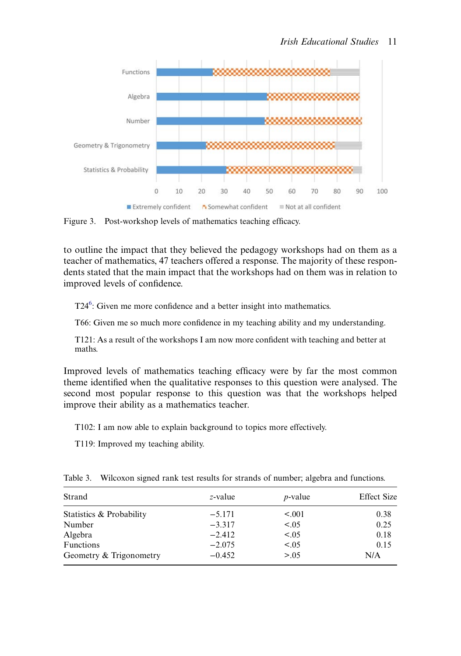<span id="page-13-0"></span>

Figure 3. Post-workshop levels of mathematics teaching efficacy.

to outline the impact that they believed the pedagogy workshops had on them as a teacher of mathematics, 47 teachers offered a response. The majority of these respondents stated that the main impact that the workshops had on them was in relation to improved levels of confidence.

T24<sup>6</sup>: Given me more confidence and a better insight into mathematics.

T66: Given me so much more confidence in my teaching ability and my understanding.

T121: As a result of the workshops I am now more confident with teaching and better at maths.

Improved levels of mathematics teaching efficacy were by far the most common theme identified when the qualitative responses to this question were analysed. The second most popular response to this question was that the workshops helped improve their ability as a mathematics teacher.

T102: I am now able to explain background to topics more effectively.

T119: Improved my teaching ability.

| Strand                   | z-value  | $p$ -value | <b>Effect Size</b> |
|--------------------------|----------|------------|--------------------|
| Statistics & Probability | $-5.171$ | < 0.001    | 0.38               |
| Number                   | $-3.317$ | < 0.05     | 0.25               |
| Algebra                  | $-2.412$ | < .05      | 0.18               |
| <b>Functions</b>         | $-2.075$ | < .05      | 0.15               |
| Geometry & Trigonometry  | $-0.452$ | > 0.05     | N/A                |

<span id="page-13-1"></span>Table 3. Wilcoxon signed rank test results for strands of number; algebra and functions.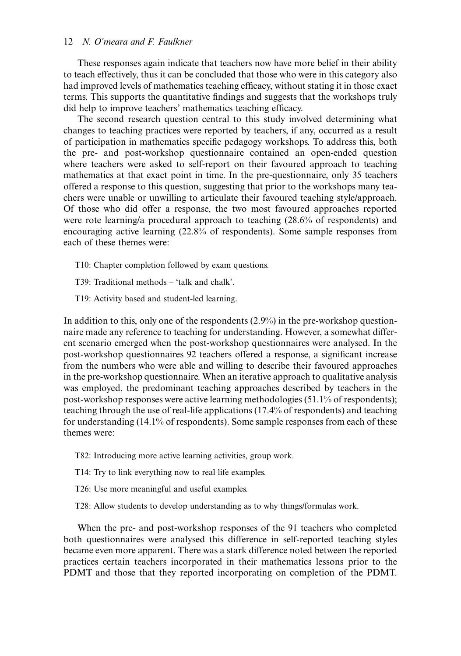# 12 N. O'meara and F. Faulkner

These responses again indicate that teachers now have more belief in their ability to teach effectively, thus it can be concluded that those who were in this category also had improved levels of mathematics teaching efficacy, without stating it in those exact terms. This supports the quantitative findings and suggests that the workshops truly did help to improve teachers' mathematics teaching efficacy.

The second research question central to this study involved determining what changes to teaching practices were reported by teachers, if any, occurred as a result of participation in mathematics specific pedagogy workshops. To address this, both the pre- and post-workshop questionnaire contained an open-ended question where teachers were asked to self-report on their favoured approach to teaching mathematics at that exact point in time. In the pre-questionnaire, only 35 teachers offered a response to this question, suggesting that prior to the workshops many teachers were unable or unwilling to articulate their favoured teaching style/approach. Of those who did offer a response, the two most favoured approaches reported were rote learning/a procedural approach to teaching (28.6% of respondents) and encouraging active learning (22.8% of respondents). Some sample responses from each of these themes were:

T10: Chapter completion followed by exam questions.

T39: Traditional methods – 'talk and chalk'.

T19: Activity based and student-led learning.

In addition to this, only one of the respondents  $(2.9\%)$  in the pre-workshop questionnaire made any reference to teaching for understanding. However, a somewhat different scenario emerged when the post-workshop questionnaires were analysed. In the post-workshop questionnaires 92 teachers offered a response, a significant increase from the numbers who were able and willing to describe their favoured approaches in the pre-workshop questionnaire. When an iterative approach to qualitative analysis was employed, the predominant teaching approaches described by teachers in the post-workshop responses were active learning methodologies (51.1% of respondents); teaching through the use of real-life applications (17.4% of respondents) and teaching for understanding (14.1% of respondents). Some sample responses from each of these themes were:

T82: Introducing more active learning activities, group work.

T14: Try to link everything now to real life examples.

T26: Use more meaningful and useful examples.

T28: Allow students to develop understanding as to why things/formulas work.

When the pre- and post-workshop responses of the 91 teachers who completed both questionnaires were analysed this difference in self-reported teaching styles became even more apparent. There was a stark difference noted between the reported practices certain teachers incorporated in their mathematics lessons prior to the PDMT and those that they reported incorporating on completion of the PDMT.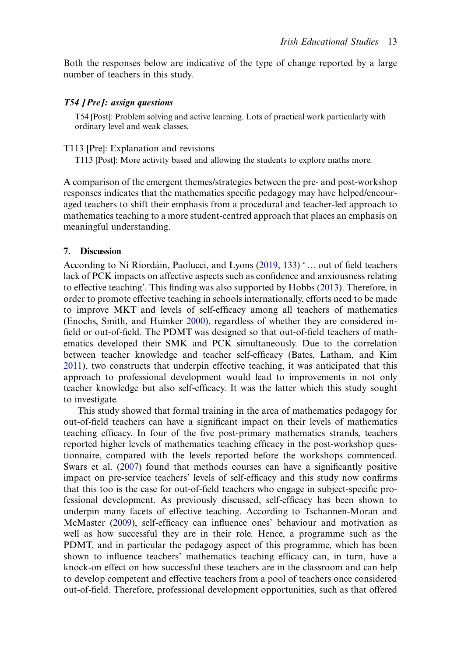Both the responses below are indicative of the type of change reported by a large number of teachers in this study.

T54 [Post]: Problem solving and active learning. Lots of practical work particularly with ordinary level and weak classes.

#### T113 [Pre]: Explanation and revisions

T113 [Post]: More activity based and allowing the students to explore maths more.

A comparison of the emergent themes/strategies between the pre- and post-workshop responses indicates that the mathematics specific pedagogy may have helped/encouraged teachers to shift their emphasis from a procedural and teacher-led approach to mathematics teaching to a more student-centred approach that places an emphasis on meaningful understanding.

## 7. Discussion

<span id="page-15-0"></span>According to Ní Ríordáin, Paolucci, and Lyons [\(2019](#page-22-3), 133) ' … out of field teachers lack of PCK impacts on affective aspects such as confidence and anxiousness relating to effective teaching'. This finding was also supported by Hobbs ([2013\)](#page-21-14). Therefore, in order to promote effective teaching in schools internationally, efforts need to be made to improve MKT and levels of self-efficacy among all teachers of mathematics (Enochs, Smith, and Huinker [2000\)](#page-21-6), regardless of whether they are considered infield or out-of-field. The PDMT was designed so that out-of-field teachers of mathematics developed their SMK and PCK simultaneously. Due to the correlation between teacher knowledge and teacher self-efficacy (Bates, Latham, and Kim [2011](#page-20-6)), two constructs that underpin effective teaching, it was anticipated that this approach to professional development would lead to improvements in not only teacher knowledge but also self-efficacy. It was the latter which this study sought to investigate.

<span id="page-15-2"></span><span id="page-15-1"></span>This study showed that formal training in the area of mathematics pedagogy for out-of-field teachers can have a significant impact on their levels of mathematics teaching efficacy. In four of the five post-primary mathematics strands, teachers reported higher levels of mathematics teaching efficacy in the post-workshop questionnaire, compared with the levels reported before the workshops commenced. Swars et al. [\(2007](#page-22-13)) found that methods courses can have a significantly positive impact on pre-service teachers' levels of self-efficacy and this study now confirms that this too is the case for out-of-field teachers who engage in subject-specific professional development. As previously discussed, self-efficacy has been shown to underpin many facets of effective teaching. According to Tschannen-Moran and McMaster ([2009](#page-22-14)), self-efficacy can influence ones' behaviour and motivation as well as how successful they are in their role. Hence, a programme such as the PDMT, and in particular the pedagogy aspect of this programme, which has been shown to influence teachers' mathematics teaching efficacy can, in turn, have a knock-on effect on how successful these teachers are in the classroom and can help to develop competent and effective teachers from a pool of teachers once considered out-of-field. Therefore, professional development opportunities, such as that offered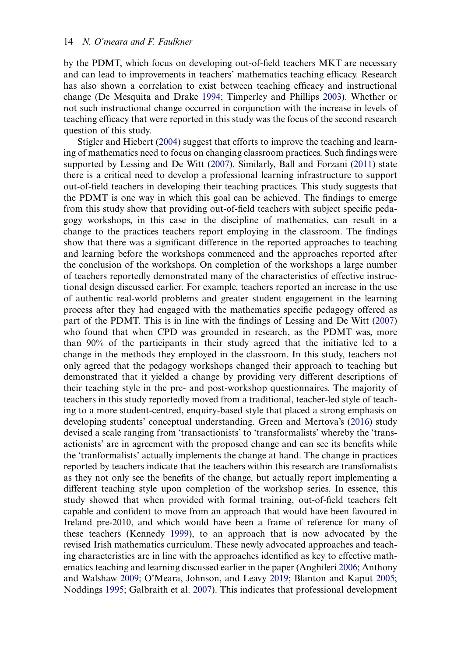<span id="page-16-2"></span>by the PDMT, which focus on developing out-of-field teachers MKT are necessary and can lead to improvements in teachers' mathematics teaching efficacy. Research has also shown a correlation to exist between teaching efficacy and instructional change (De Mesquita and Drake [1994](#page-20-17); Timperley and Phillips [2003\)](#page-22-15). Whether or not such instructional change occurred in conjunction with the increase in levels of teaching efficacy that were reported in this study was the focus of the second research question of this study.

<span id="page-16-5"></span><span id="page-16-4"></span><span id="page-16-3"></span><span id="page-16-1"></span><span id="page-16-0"></span>Stigler and Hiebert [\(2004](#page-22-2)) suggest that efforts to improve the teaching and learning of mathematics need to focus on changing classroom practices. Such findings were supported by Lessing and De Witt ([2007\)](#page-21-9). Similarly, Ball and Forzani ([2011\)](#page-20-18) state there is a critical need to develop a professional learning infrastructure to support out-of-field teachers in developing their teaching practices. This study suggests that the PDMT is one way in which this goal can be achieved. The findings to emerge from this study show that providing out-of-field teachers with subject specific pedagogy workshops, in this case in the discipline of mathematics, can result in a change to the practices teachers report employing in the classroom. The findings show that there was a significant difference in the reported approaches to teaching and learning before the workshops commenced and the approaches reported after the conclusion of the workshops. On completion of the workshops a large number of teachers reportedly demonstrated many of the characteristics of effective instructional design discussed earlier. For example, teachers reported an increase in the use of authentic real-world problems and greater student engagement in the learning process after they had engaged with the mathematics specific pedagogy offered as part of the PDMT. This is in line with the findings of Lessing and De Witt ([2007\)](#page-21-9) who found that when CPD was grounded in research, as the PDMT was, more than 90% of the participants in their study agreed that the initiative led to a change in the methods they employed in the classroom. In this study, teachers not only agreed that the pedagogy workshops changed their approach to teaching but demonstrated that it yielded a change by providing very different descriptions of their teaching style in the pre- and post-workshop questionnaires. The majority of teachers in this study reportedly moved from a traditional, teacher-led style of teaching to a more student-centred, enquiry-based style that placed a strong emphasis on developing students' conceptual understanding. Green and Mertova's [\(2016](#page-21-15)) study devised a scale ranging from 'transactionists' to 'transformalists' whereby the 'transactionists' are in agreement with the proposed change and can see its benefits while the 'tranformalists' actually implements the change at hand. The change in practices reported by teachers indicate that the teachers within this research are transfomalists as they not only see the benefits of the change, but actually report implementing a different teaching style upon completion of the workshop series. In essence, this study showed that when provided with formal training, out-of-field teachers felt capable and confident to move from an approach that would have been favoured in Ireland pre-2010, and which would have been a frame of reference for many of these teachers (Kennedy [1999](#page-21-16)), to an approach that is now advocated by the revised Irish mathematics curriculum. These newly advocated approaches and teaching characteristics are in line with the approaches identified as key to effective mathematics teaching and learning discussed earlier in the paper (Anghileri [2006;](#page-20-5) Anthony and Walshaw [2009;](#page-20-0) O'Meara, Johnson, and Leavy [2019;](#page-22-6) Blanton and Kaput [2005](#page-20-19); Noddings [1995;](#page-22-5) Galbraith et al. [2007\)](#page-21-17). This indicates that professional development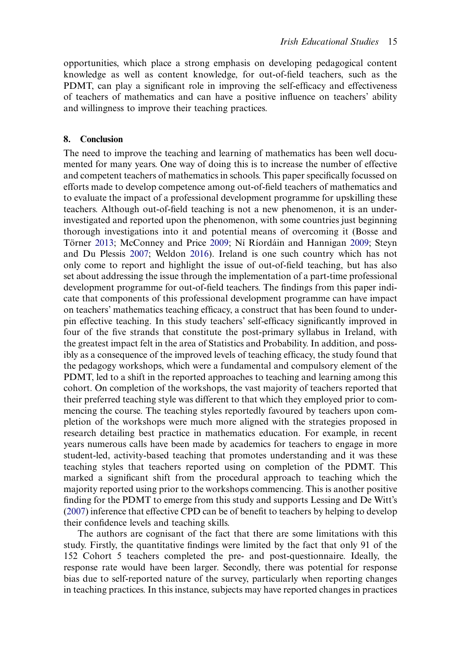opportunities, which place a strong emphasis on developing pedagogical content knowledge as well as content knowledge, for out-of-field teachers, such as the PDMT, can play a significant role in improving the self-efficacy and effectiveness of teachers of mathematics and can have a positive influence on teachers' ability and willingness to improve their teaching practices.

# 8. Conclusion

The need to improve the teaching and learning of mathematics has been well documented for many years. One way of doing this is to increase the number of effective and competent teachers of mathematics in schools. This paper specifically focussed on efforts made to develop competence among out-of-field teachers of mathematics and to evaluate the impact of a professional development programme for upskilling these teachers. Although out-of-field teaching is not a new phenomenon, it is an underinvestigated and reported upon the phenomenon, with some countries just beginning thorough investigations into it and potential means of overcoming it (Bosse and Törner [2013;](#page-20-11) McConney and Price [2009;](#page-21-7) Ní Ríordáin and Hannigan [2009;](#page-21-3) Steyn and Du Plessis [2007;](#page-22-8) Weldon [2016](#page-22-7)). Ireland is one such country which has not only come to report and highlight the issue of out-of-field teaching, but has also set about addressing the issue through the implementation of a part-time professional development programme for out-of-field teachers. The findings from this paper indicate that components of this professional development programme can have impact on teachers' mathematics teaching efficacy, a construct that has been found to underpin effective teaching. In this study teachers' self-efficacy significantly improved in four of the five strands that constitute the post-primary syllabus in Ireland, with the greatest impact felt in the area of Statistics and Probability. In addition, and possibly as a consequence of the improved levels of teaching efficacy, the study found that the pedagogy workshops, which were a fundamental and compulsory element of the PDMT, led to a shift in the reported approaches to teaching and learning among this cohort. On completion of the workshops, the vast majority of teachers reported that their preferred teaching style was different to that which they employed prior to commencing the course. The teaching styles reportedly favoured by teachers upon completion of the workshops were much more aligned with the strategies proposed in research detailing best practice in mathematics education. For example, in recent years numerous calls have been made by academics for teachers to engage in more student-led, activity-based teaching that promotes understanding and it was these teaching styles that teachers reported using on completion of the PDMT. This marked a significant shift from the procedural approach to teaching which the majority reported using prior to the workshops commencing. This is another positive finding for the PDMT to emerge from this study and supports Lessing and De Witt's [\(2007](#page-21-9)) inference that effective CPD can be of benefit to teachers by helping to develop their confidence levels and teaching skills.

The authors are cognisant of the fact that there are some limitations with this study. Firstly, the quantitative findings were limited by the fact that only 91 of the 152 Cohort 5 teachers completed the pre- and post-questionnaire. Ideally, the response rate would have been larger. Secondly, there was potential for response bias due to self-reported nature of the survey, particularly when reporting changes in teaching practices. In this instance, subjects may have reported changes in practices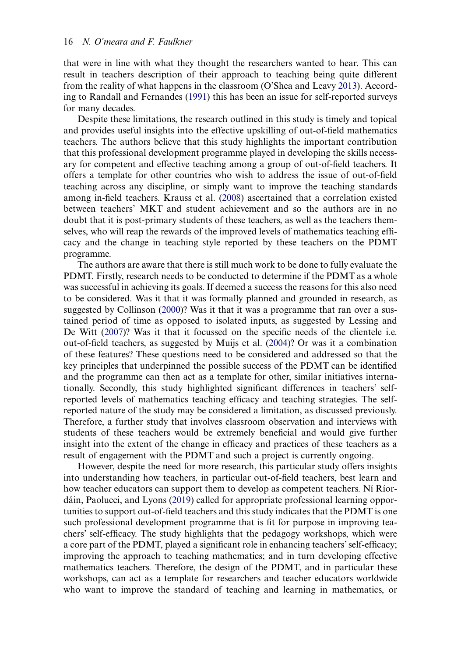<span id="page-18-2"></span><span id="page-18-1"></span>that were in line with what they thought the researchers wanted to hear. This can result in teachers description of their approach to teaching being quite different from the reality of what happens in the classroom (O'Shea and Leavy [2013](#page-22-16)). According to Randall and Fernandes ([1991\)](#page-22-17) this has been an issue for self-reported surveys for many decades.

Despite these limitations, the research outlined in this study is timely and topical and provides useful insights into the effective upskilling of out-of-field mathematics teachers. The authors believe that this study highlights the important contribution that this professional development programme played in developing the skills necessary for competent and effective teaching among a group of out-of-field teachers. It offers a template for other countries who wish to address the issue of out-of-field teaching across any discipline, or simply want to improve the teaching standards among in-field teachers. Krauss et al. ([2008\)](#page-21-11) ascertained that a correlation existed between teachers' MKT and student achievement and so the authors are in no doubt that it is post-primary students of these teachers, as well as the teachers themselves, who will reap the rewards of the improved levels of mathematics teaching efficacy and the change in teaching style reported by these teachers on the PDMT programme.

<span id="page-18-0"></span>The authors are aware that there is still much work to be done to fully evaluate the PDMT. Firstly, research needs to be conducted to determine if the PDMT as a whole was successful in achieving its goals. If deemed a success the reasons for this also need to be considered. Was it that it was formally planned and grounded in research, as suggested by Collinson [\(2000](#page-20-13))? Was it that it was a programme that ran over a sustained period of time as opposed to isolated inputs, as suggested by Lessing and De Witt ([2007\)](#page-21-9)? Was it that it focussed on the specific needs of the clientele i.e. out-of-field teachers, as suggested by Muijs et al. ([2004\)](#page-21-18)? Or was it a combination of these features? These questions need to be considered and addressed so that the key principles that underpinned the possible success of the PDMT can be identified and the programme can then act as a template for other, similar initiatives internationally. Secondly, this study highlighted significant differences in teachers' selfreported levels of mathematics teaching efficacy and teaching strategies. The selfreported nature of the study may be considered a limitation, as discussed previously. Therefore, a further study that involves classroom observation and interviews with students of these teachers would be extremely beneficial and would give further insight into the extent of the change in efficacy and practices of these teachers as a result of engagement with the PDMT and such a project is currently ongoing.

However, despite the need for more research, this particular study offers insights into understanding how teachers, in particular out-of-field teachers, best learn and how teacher educators can support them to develop as competent teachers. Ní Ríordáin, Paolucci, and Lyons [\(2019](#page-22-3)) called for appropriate professional learning opportunities to support out-of-field teachers and this study indicates that the PDMT is one such professional development programme that is fit for purpose in improving teachers' self-efficacy. The study highlights that the pedagogy workshops, which were a core part of the PDMT, played a significant role in enhancing teachers'self-efficacy; improving the approach to teaching mathematics; and in turn developing effective mathematics teachers. Therefore, the design of the PDMT, and in particular these workshops, can act as a template for researchers and teacher educators worldwide who want to improve the standard of teaching and learning in mathematics, or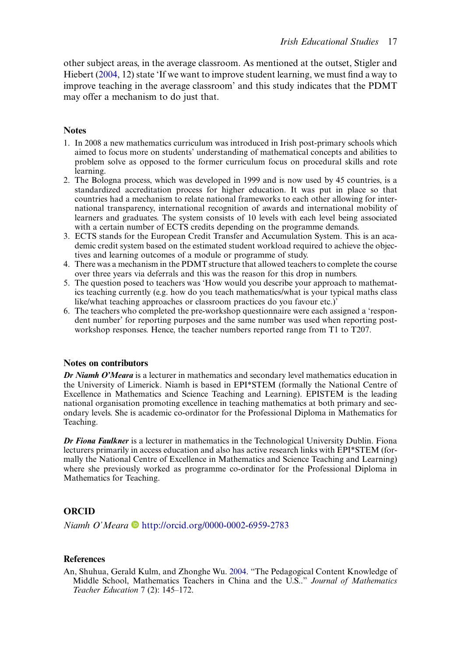other subject areas, in the average classroom. As mentioned at the outset, Stigler and Hiebert ([2004,](#page-22-2) 12) state 'If we want to improve student learning, we must find a way to improve teaching in the average classroom' and this study indicates that the PDMT may offer a mechanism to do just that.

# **Notes**

- <span id="page-19-1"></span>1. In 2008 a new mathematics curriculum was introduced in Irish post-primary schools which aimed to focus more on students' understanding of mathematical concepts and abilities to problem solve as opposed to the former curriculum focus on procedural skills and rote learning.
- <span id="page-19-2"></span>2. The Bologna process, which was developed in 1999 and is now used by 45 countries, is a standardized accreditation process for higher education. It was put in place so that countries had a mechanism to relate national frameworks to each other allowing for international transparency, international recognition of awards and international mobility of learners and graduates. The system consists of 10 levels with each level being associated with a certain number of ECTS credits depending on the programme demands.
- <span id="page-19-3"></span>3. ECTS stands for the European Credit Transfer and Accumulation System. This is an academic credit system based on the estimated student workload required to achieve the objectives and learning outcomes of a module or programme of study.
- <span id="page-19-4"></span>4. There was a mechanism in the PDMT structure that allowed teachers to complete the course over three years via deferrals and this was the reason for this drop in numbers.
- <span id="page-19-5"></span>5. The question posed to teachers was 'How would you describe your approach to mathematics teaching currently (e.g. how do you teach mathematics/what is your typical maths class like/what teaching approaches or classroom practices do you favour etc.)'
- <span id="page-19-6"></span>6. The teachers who completed the pre-workshop questionnaire were each assigned a 'respondent number' for reporting purposes and the same number was used when reporting postworkshop responses. Hence, the teacher numbers reported range from T1 to T207.

# Notes on contributors

Dr Niamh O'Meara is a lecturer in mathematics and secondary level mathematics education in the University of Limerick. Niamh is based in EPI\*STEM (formally the National Centre of Excellence in Mathematics and Science Teaching and Learning). EPISTEM is the leading national organisation promoting excellence in teaching mathematics at both primary and secondary levels. She is academic co-ordinator for the Professional Diploma in Mathematics for Teaching.

Dr Fiona Faulkner is a lecturer in mathematics in the Technological University Dublin. Fiona lecturers primarily in access education and also has active research links with EPI\*STEM (formally the National Centre of Excellence in Mathematics and Science Teaching and Learning) where she previously worked as programme co-ordinator for the Professional Diploma in Mathematics for Teaching.

# **ORCID**

Niamh O'Meara <http://orcid.org/0000-0002-6959-2783>

# **References**

<span id="page-19-0"></span>An, Shuhua, Gerald Kulm, and Zhonghe Wu. [2004.](#page-3-0) "The Pedagogical Content Knowledge of Middle School, Mathematics Teachers in China and the U.S.." Journal of Mathematics Teacher Education 7 (2): 145–172.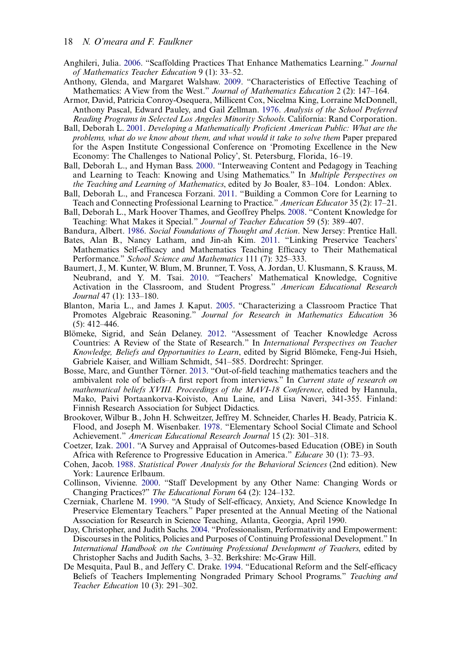- <span id="page-20-5"></span>Anghileri, Julia. [2006.](#page-5-0) "Scaffolding Practices That Enhance Mathematics Learning." Journal of Mathematics Teacher Education 9 (1): 33–52.
- <span id="page-20-0"></span>Anthony, Glenda, and Margaret Walshaw. [2009.](#page-4-0) "Characteristics of Effective Teaching of Mathematics: A View from the West." Journal of Mathematics Education 2 (2): 147–164.
- <span id="page-20-8"></span>Armor, David, Patricia Conroy-Osequera, Millicent Cox, Nicelma King, Lorraine McDonnell, Anthony Pascal, Edward Pauley, and Gail Zellman. [1976](#page-5-1). Analysis of the School Preferred Reading Programs in Selected Los Angeles Minority Schools. California: Rand Corporation.
- <span id="page-20-12"></span>Ball, Deborah L. [2001](#page-6-0). Developing a Mathematically Proficient American Public: What are the problems, what do we know about them, and what would it take to solve them Paper prepared for the Aspen Institute Congessional Conference on 'Promoting Excellence in the New Economy: The Challenges to National Policy', St. Petersburg, Florida, 16–19.
- <span id="page-20-3"></span>Ball, Deborah L., and Hyman Bass. [2000.](#page-4-1) "Interweaving Content and Pedagogy in Teaching and Learning to Teach: Knowing and Using Mathematics." In Multiple Perspectives on the Teaching and Learning of Mathematics, edited by Jo Boaler, 83–104. London: Ablex.
- <span id="page-20-18"></span>Ball, Deborah L., and Francesca Forzani. [2011](#page-16-0). "Building a Common Core for Learning to Teach and Connecting Professional Learning to Practice." American Educator 35 (2): 17–21.
- <span id="page-20-2"></span>Ball, Deborah L., Mark Hoover Thames, and Geoffrey Phelps. [2008](#page-4-2). "Content Knowledge for Teaching: What Makes it Special." Journal of Teacher Education 59 (5): 389–407.
- <span id="page-20-7"></span><span id="page-20-6"></span>Bandura, Albert. [1986](#page-5-2). Social Foundations of Thought and Action. New Jersey: Prentice Hall.
- Bates, Alan B., Nancy Latham, and Jin-ah Kim. [2011](#page-5-3). "Linking Preservice Teachers' Mathematics Self-efficacy and Mathematics Teaching Efficacy to Their Mathematical Performance." School Science and Mathematics 111 (7): 325–333.
- <span id="page-20-4"></span>Baumert, J., M. Kunter, W. Blum, M. Brunner, T. Voss, A. Jordan, U. Klusmann, S. Krauss, M. Neubrand, and Y. M. Tsai. [2010](#page-4-3). "Teachers' Mathematical Knowledge, Cognitive Activation in the Classroom, and Student Progress." American Educational Research Journal 47 (1): 133–180.
- <span id="page-20-19"></span>Blanton, Maria L., and James J. Kaput. [2005](#page-16-1). "Characterizing a Classroom Practice That Promotes Algebraic Reasoning." Journal for Research in Mathematics Education 36 (5): 412–446.
- <span id="page-20-1"></span>Blömeke, Sigrid, and Seán Delaney. [2012](#page-4-4). "Assessment of Teacher Knowledge Across Countries: A Review of the State of Research." In International Perspectives on Teacher Knowledge, Beliefs and Opportunities to Learn, edited by Sigrid Blömeke, Feng-Jui Hsieh, Gabriele Kaiser, and William Schmidt, 541–585. Dordrecht: Springer.
- <span id="page-20-11"></span>Bosse, Marc, and Gunther Törner. [2013.](#page-5-4) "Out-of-field teaching mathematics teachers and the ambivalent role of beliefs–A first report from interviews." In Current state of research on mathematical beliefs XVIII. Proceedings of the MAVI-18 Conference, edited by Hannula, Mako, Paivi Portaankorva-Koivisto, Anu Laine, and Liisa Naveri, 341-355. Finland: Finnish Research Association for Subject Didactics.
- <span id="page-20-9"></span>Brookover, Wilbur B., John H. Schweitzer, Jeffrey M. Schneider, Charles H. Beady, Patricia K. Flood, and Joseph M. Wisenbaker. [1978.](#page-5-3) "Elementary School Social Climate and School Achievement." American Educational Research Journal 15 (2): 301–318.
- <span id="page-20-14"></span>Coetzer, Izak. [2001.](#page-7-0) "A Survey and Appraisal of Outcomes-based Education (OBE) in South Africa with Reference to Progressive Education in America." Educare 30 (1): 73–93.
- <span id="page-20-16"></span>Cohen, Jacob. [1988.](#page-12-1) Statistical Power Analysis for the Behavioral Sciences (2nd edition). New York: Laurence Erlbaum.
- <span id="page-20-13"></span>Collinson, Vivienne. [2000](#page-7-0). "Staff Development by any Other Name: Changing Words or Changing Practices?" The Educational Forum 64 (2): 124–132.
- <span id="page-20-10"></span>Czerniak, Charlene M. [1990](#page-5-5). "A Study of Self-efficacy, Anxiety, And Science Knowledge In Preservice Elementary Teachers." Paper presented at the Annual Meeting of the National Association for Research in Science Teaching, Atlanta, Georgia, April 1990.
- <span id="page-20-15"></span>Day, Christopher, and Judith Sachs. [2004.](#page-7-1) "Professionalism, Performativity and Empowerment: Discourses in the Politics, Policies and Purposes of Continuing Professional Development." In International Handbook on the Continuing Professional Development of Teachers, edited by Christopher Sachs and Judith Sachs, 3–32. Berkshire: Mc-Graw Hill.
- <span id="page-20-17"></span>De Mesquita, Paul B., and Jeffery C. Drake. [1994.](#page-16-2) "Educational Reform and the Self-efficacy Beliefs of Teachers Implementing Nongraded Primary School Programs." Teaching and Teacher Education 10 (3): 291–302.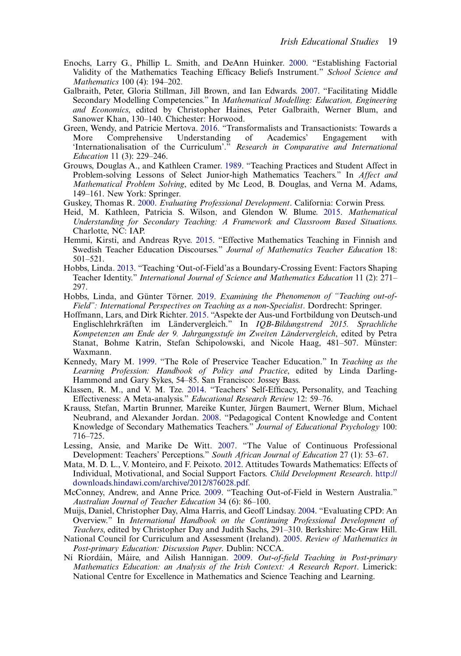- <span id="page-21-6"></span>Enochs, Larry G., Phillip L. Smith, and DeAnn Huinker. [2000](#page-5-6). "Establishing Factorial Validity of the Mathematics Teaching Efficacy Beliefs Instrument." School Science and Mathematics 100 (4): 194–202.
- <span id="page-21-17"></span>Galbraith, Peter, Gloria Stillman, Jill Brown, and Ian Edwards. [2007](#page-16-3). "Facilitating Middle Secondary Modelling Competencies." In Mathematical Modelling: Education, Engineering and Economics, edited by Christopher Haines, Peter Galbraith, Werner Blum, and Sanower Khan, 130–140. Chichester: Horwood.
- <span id="page-21-15"></span>Green, Wendy, and Patricie Mertova. [2016.](#page-16-4) "Transformalists and Transactionists: Towards a More Comprehensive Understanding of Academics' Engagement 'Internationalisation of the Curriculum'." Research in Comparative and International Education 11 (3): 229–246.
- <span id="page-21-0"></span>Grouws, Douglas A., and Kathleen Cramer. [1989.](#page-3-1) "Teaching Practices and Student Affect in Problem-solving Lessons of Select Junior-high Mathematics Teachers." In Affect and Mathematical Problem Solving, edited by Mc Leod, B. Douglas, and Verna M. Adams, 149–161. New York: Springer.
- <span id="page-21-13"></span><span id="page-21-12"></span>Guskey, Thomas R. [2000](#page-10-1). Evaluating Professional Development. California: Corwin Press.
- Heid, M. Kathleen, Patricia S. Wilson, and Glendon W. Blume. [2015](#page-7-2). Mathematical Understanding for Secondary Teaching: A Framework and Classroom Based Situations. Charlotte, NC: IAP.
- <span id="page-21-2"></span>Hemmi, Kirsti, and Andreas Ryve. [2015.](#page-3-2) "Effective Mathematics Teaching in Finnish and Swedish Teacher Education Discourses." Journal of Mathematics Teacher Education 18: 501–521.
- <span id="page-21-14"></span>Hobbs, Linda. [2013](#page-15-0). "Teaching 'Out-of-Field'as a Boundary-Crossing Event: Factors Shaping Teacher Identity." International Journal of Science and Mathematics Education 11 (2): 271– 297.
- <span id="page-21-8"></span>Hobbs, Linda, and Günter Törner. [2019](#page-6-1). Examining the Phenomenon of "Teaching out-of-Field": International Perspectives on Teaching as a non-Specialist. Dordrecht: Springer.
- <span id="page-21-10"></span>Hoffmann, Lars, and Dirk Richter. [2015](#page-6-2). "Aspekte der Aus-und Fortbildung von Deutsch-und Englischlehrkräften im Ländervergleich." In IQB-Bildungstrend 2015. Sprachliche Kompetenzen am Ende der 9. Jahrgangsstufe im Zweiten Ländervergleich, edited by Petra Stanat, Bohme Katrin, Stefan Schipolowski, and Nicole Haag, 481–507. Münster: Waxmann.
- <span id="page-21-16"></span>Kennedy, Mary M. [1999.](#page-16-5) "The Role of Preservice Teacher Education." In Teaching as the Learning Profession: Handbook of Policy and Practice, edited by Linda Darling-Hammond and Gary Sykes, 54–85. San Francisco: Jossey Bass.
- <span id="page-21-5"></span>Klassen, R. M., and V. M. Tze. [2014.](#page-5-7) "Teachers' Self-Efficacy, Personality, and Teaching Effectiveness: A Meta-analysis." Educational Research Review 12: 59–76.
- <span id="page-21-11"></span>Krauss, Stefan, Martin Brunner, Mareike Kunter, Jürgen Baumert, Werner Blum, Michael Neubrand, and Alexander Jordan. [2008](#page-7-3). "Pedagogical Content Knowledge and Content Knowledge of Secondary Mathematics Teachers." Journal of Educational Psychology 100: 716–725.
- <span id="page-21-9"></span>Lessing, Ansie, and Marike De Witt. [2007](#page-6-3). "The Value of Continuous Professional Development: Teachers' Perceptions." South African Journal of Education 27 (1): 53–67.
- <span id="page-21-1"></span>Mata, M. D. L., V. Monteiro, and F. Peixoto. [2012](#page-3-1). Attitudes Towards Mathematics: Effects of Individual, Motivational, and Social Support Factors. Child Development Research. [http://](http://downloads.hindawi.com/archive/2012/876028.pdf) [downloads.hindawi.com/archive/2012/876028.pdf.](http://downloads.hindawi.com/archive/2012/876028.pdf)
- <span id="page-21-7"></span>McConney, Andrew, and Anne Price. [2009.](#page-5-4) "Teaching Out-of-Field in Western Australia." Australian Journal of Teacher Education 34 (6): 86–100.
- <span id="page-21-18"></span>Muijs, Daniel, Christopher Day, Alma Harris, and Geoff Lindsay. [2004](#page-18-0). "Evaluating CPD: An Overview." In International Handbook on the Continuing Professional Development of Teachers, edited by Christopher Day and Judith Sachs, 291–310. Berkshire: Mc-Graw Hill.
- <span id="page-21-4"></span>National Council for Curriculum and Assessment (Ireland). [2005](#page-4-5). Review of Mathematics in Post-primary Education: Discussion Paper. Dublin: NCCA.
- <span id="page-21-3"></span>Ní Ríordáin, Máire, and Ailish Hannigan. [2009](#page-4-6). Out-of-field Teaching in Post-primary Mathematics Education: an Analysis of the Irish Context: A Research Report. Limerick: National Centre for Excellence in Mathematics and Science Teaching and Learning.